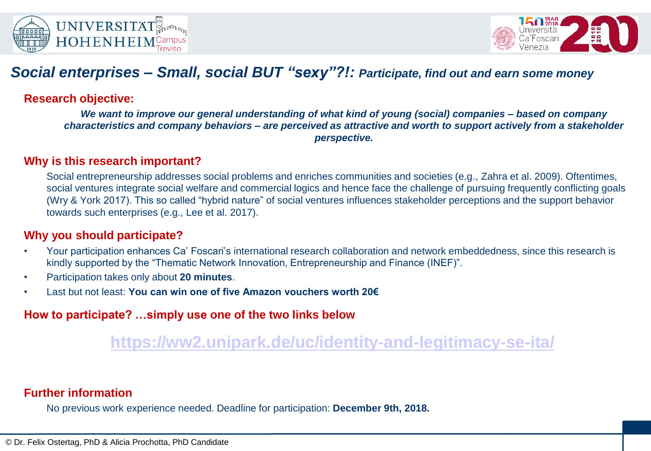



## *Social enterprises – Small, social BUT "sexy"?!: Participate, find out and earn some money*

### **Research objective:**

*We want to improve our general understanding of what kind of young (social) companies – based on company characteristics and company behaviors – are perceived as attractive and worth to support actively from a stakeholder perspective.*

#### **Why is this research important?**

Social entrepreneurship addresses social problems and enriches communities and societies (e.g., Zahra et al. 2009). Oftentimes, social ventures integrate social welfare and commercial logics and hence face the challenge of pursuing frequently conflicting goals (Wry & York 2017). This so called "hybrid nature" of social ventures influences stakeholder perceptions and the support behavior towards such enterprises (e.g., Lee et al. 2017).

#### **Why you should participate?**

- Your participation enhances Ca' Foscari's international research collaboration and network embeddedness, since this research is kindly supported by the "Thematic Network Innovation, Entrepreneurship and Finance (INEF)".
- Participation takes only about **20 minutes**.
- Last but not least: **You can win one of five Amazon vouchers worth 20€**

### **How to participate? …simply use one of the two links below**

# **<https://ww2.unipark.de/uc/identity-and-legitimacy-se-ita/>**

#### **Further information**

No previous work experience needed. Deadline for participation: **December 9th, 2018.**